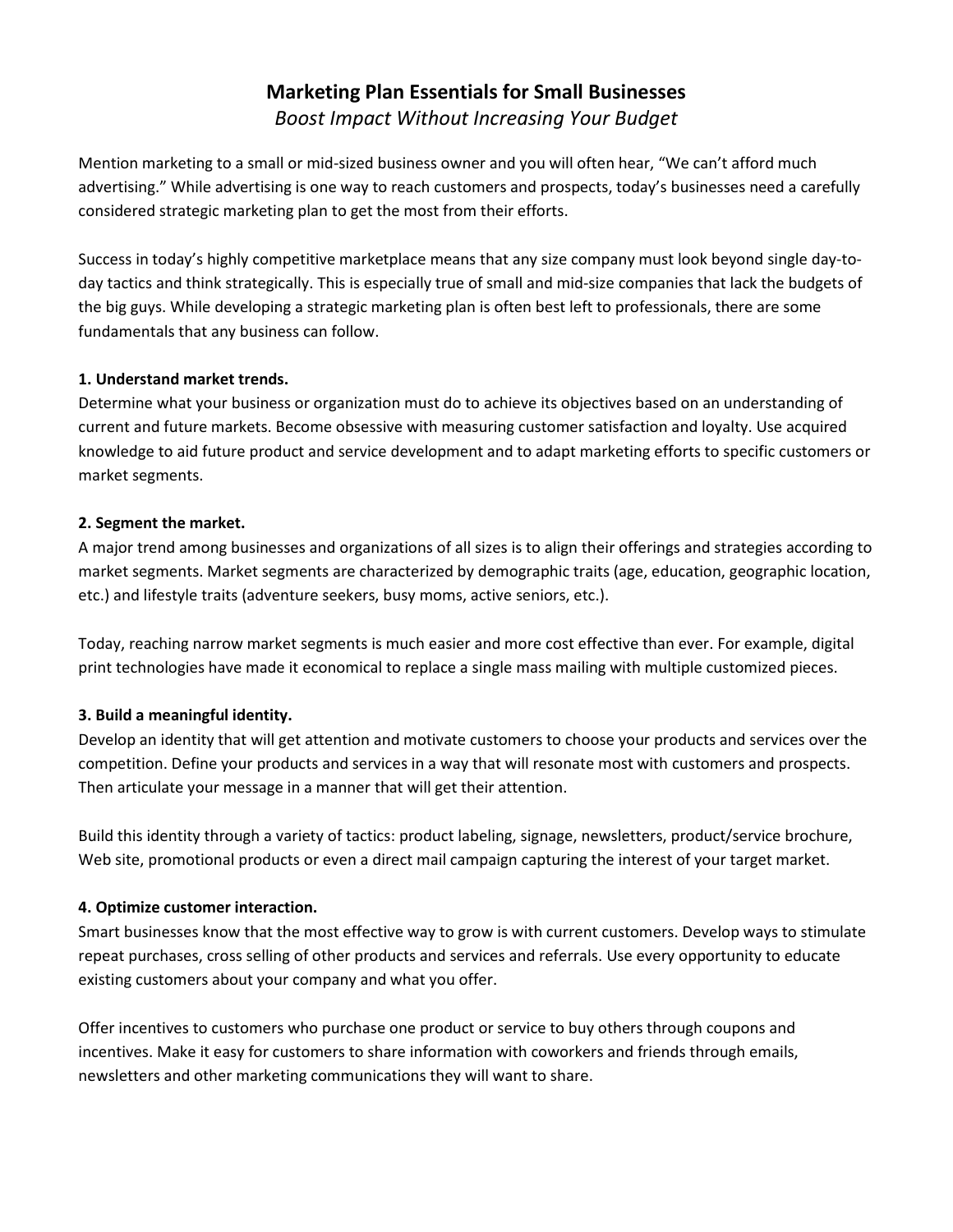# **Marketing Plan Essentials for Small Businesses** *Boost Impact Without Increasing Your Budget*

Mention marketing to a small or mid-sized business owner and you will often hear, "We can't afford much advertising." While advertising is one way to reach customers and prospects, today's businesses need a carefully considered strategic marketing plan to get the most from their efforts.

Success in today's highly competitive marketplace means that any size company must look beyond single day-today tactics and think strategically. This is especially true of small and mid-size companies that lack the budgets of the big guys. While developing a strategic marketing plan is often best left to professionals, there are some fundamentals that any business can follow.

# **1. Understand market trends.**

Determine what your business or organization must do to achieve its objectives based on an understanding of current and future markets. Become obsessive with measuring customer satisfaction and loyalty. Use acquired knowledge to aid future product and service development and to adapt marketing efforts to specific customers or market segments.

### **2. Segment the market.**

A major trend among businesses and organizations of all sizes is to align their offerings and strategies according to market segments. Market segments are characterized by demographic traits (age, education, geographic location, etc.) and lifestyle traits (adventure seekers, busy moms, active seniors, etc.).

Today, reaching narrow market segments is much easier and more cost effective than ever. For example, digital print technologies have made it economical to replace a single mass mailing with multiple customized pieces.

# **3. Build a meaningful identity.**

Develop an identity that will get attention and motivate customers to choose your products and services over the competition. Define your products and services in a way that will resonate most with customers and prospects. Then articulate your message in a manner that will get their attention.

Build this identity through a variety of tactics: product labeling, signage, newsletters, product/service brochure, Web site, promotional products or even a direct mail campaign capturing the interest of your target market.

#### **4. Optimize customer interaction.**

Smart businesses know that the most effective way to grow is with current customers. Develop ways to stimulate repeat purchases, cross selling of other products and services and referrals. Use every opportunity to educate existing customers about your company and what you offer.

Offer incentives to customers who purchase one product or service to buy others through coupons and incentives. Make it easy for customers to share information with coworkers and friends through emails, newsletters and other marketing communications they will want to share.